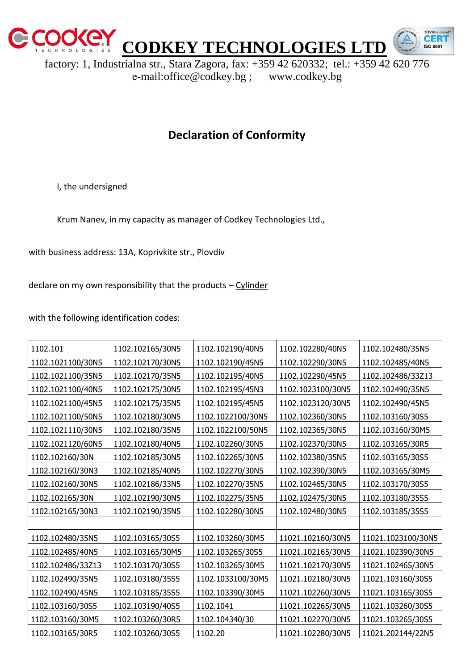

factory: 1, Industrialna str., Stara Zagora, fax: +359 42 620332; tel.: +359 42 620 776

CFR 150.9001

е-mail:office@codkey.bg ; www.codkey.bg

## **Declaration of Conformity**

I, the undersigned

Krum Nanev, in my capacity as manager of Codkey Technologies Ltd.,

with business address: 13A, Koprivkite str., Plovdiv

declare on my own responsibility that the products – Cylinder

with the following identification codes:

| 1102.101          | 1102.102165/30N5 | 1102.102190/40N5  | 1102.102280/40N5  | 1102.102480/35N5   |
|-------------------|------------------|-------------------|-------------------|--------------------|
| 1102.1021100/30N5 | 1102.102170/30N5 | 1102.102190/45N5  | 1102.102290/30N5  | 1102.102485/40N5   |
| 1102.1021100/35N5 | 1102.102170/35N5 | 1102.102195/40N5  | 1102.102290/45N5  | 1102.102486/33Z13  |
| 1102.1021100/40N5 | 1102.102175/30N5 | 1102.102195/45N3  | 1102.1023100/30N5 | 1102.102490/35N5   |
| 1102.1021100/45N5 | 1102.102175/35N5 | 1102.102195/45N5  | 1102.1023120/30N5 | 1102.102490/45N5   |
| 1102.1021100/50N5 | 1102.102180/30N5 | 1102.1022100/30N5 | 1102.102360/30N5  | 1102.103160/30S5   |
| 1102.1021110/30N5 | 1102.102180/35N5 | 1102.1022100/50N5 | 1102.102365/30N5  | 1102.103160/30M5   |
| 1102.1021120/60N5 | 1102.102180/40N5 | 1102.102260/30N5  | 1102.102370/30N5  | 1102.103165/30R5   |
| 1102.102160/30N   | 1102.102185/30N5 | 1102.102265/30N5  | 1102.102380/35N5  | 1102.103165/30S5   |
| 1102.102160/30N3  | 1102.102185/40N5 | 1102.102270/30N5  | 1102.102390/30N5  | 1102.103165/30M5   |
| 1102.102160/30N5  | 1102.102186/33N5 | 1102.102270/35N5  | 1102.102465/30N5  | 1102.103170/30S5   |
| 1102.102165/30N   | 1102.102190/30N5 | 1102.102275/35N5  | 1102.102475/30N5  | 1102.103180/35S5   |
| 1102.102165/30N3  | 1102.102190/35N5 | 1102.102280/30N5  | 1102.102480/30N5  | 1102.103185/35S5   |
|                   |                  |                   |                   |                    |
| 1102.102480/35N5  | 1102.103165/30S5 | 1102.103260/30M5  | 11021.102160/30N5 | 11021.1023100/30N5 |
| 1102.102485/40N5  | 1102.103165/30M5 | 1102.103265/30S5  | 11021.102165/30N5 | 11021.102390/30N5  |
| 1102.102486/33Z13 | 1102.103170/30S5 | 1102.103265/30M5  | 11021.102170/30N5 | 11021.102465/30N5  |
| 1102.102490/35N5  | 1102.103180/35S5 | 1102.1033100/30M5 | 11021.102180/30N5 | 11021.103160/30S5  |
| 1102.102490/45N5  | 1102.103185/35S5 | 1102.103390/30M5  | 11021.102260/30N5 | 11021.103165/30S5  |
| 1102.103160/30S5  | 1102.103190/40S5 | 1102.1041         | 11021.102265/30N5 | 11021.103260/30S5  |
| 1102.103160/30M5  | 1102.103260/30R5 | 1102.104340/30    | 11021.102270/30N5 | 11021.103265/30S5  |
| 1102.103165/30R5  | 1102.103260/30S5 | 1102.20           | 11021.102280/30N5 | 11021.202144/22N5  |